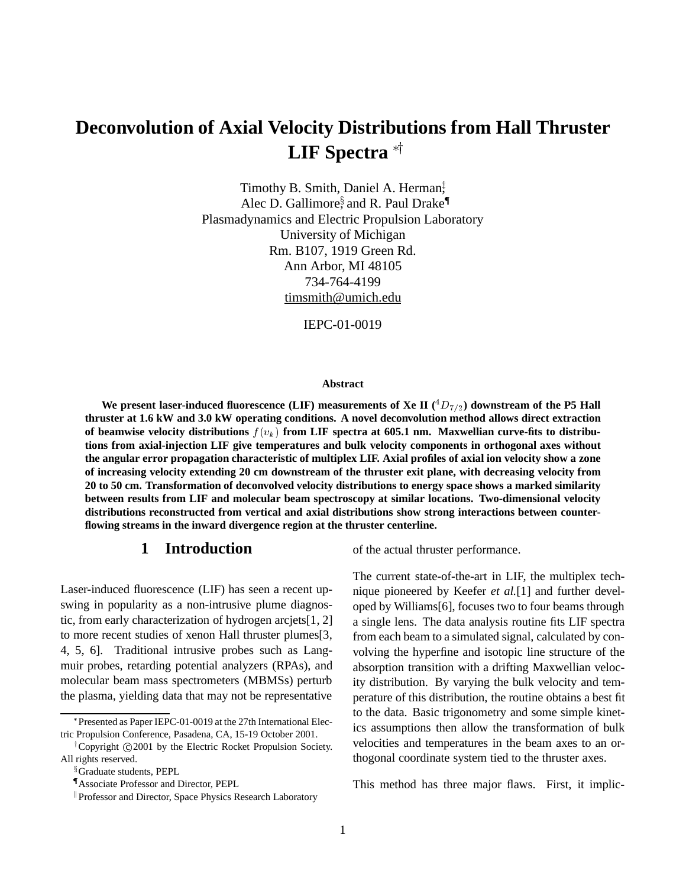# **Deconvolution of Axial Velocity Distributions from Hall Thruster LIF** Spectra<sup>\*</sup>

Timothy B. Smith, Daniel A. Herman<sup>‡</sup>, Alec D. Gallimore, and R. Paul Drake<sup>¶</sup> Plasmadynamics and Electric Propulsion Laboratory University of Michigan Rm. B107, 1919 Green Rd. Ann Arbor, MI 48105 734-764-4199 timsmith@umich.edu

IEPC-01-0019

#### **Abstract**

We present laser-induced fluorescence (LIF) measurements of Xe II  $(^{4}D_{7/2})$  downstream of the P5 Hall **thruster at 1.6 kW and 3.0 kW operating conditions. A novel deconvolution method allows direct extraction** of beamwise velocity distributions  $f(v_k)$  from LIF spectra at 605.1 nm. Maxwellian curve-fits to distribu**tions from axial-injection LIF give temperatures and bulk velocity components in orthogonal axes without the angular error propagation characteristic of multiplex LIF. Axial profiles of axial ion velocity show a zone of increasing velocity extending 20 cm downstream of the thruster exit plane, with decreasing velocity from 20 to 50 cm. Transformation of deconvolved velocity distributions to energy space shows a marked similarity between results from LIF and molecular beam spectroscopy at similar locations. Two-dimensional velocity distributions reconstructed from vertical and axial distributions show strong interactions between counterflowing streams in the inward divergence region at the thruster centerline.**

# **1 Introduction**

Laser-induced fluorescence (LIF) has seen a recent upswing in popularity as a non-intrusive plume diagnostic, from early characterization of hydrogen arcjets[1, 2] to more recent studies of xenon Hall thruster plumes[3, 4, 5, 6]. Traditional intrusive probes such as Langmuir probes, retarding potential analyzers (RPAs), and molecular beam mass spectrometers (MBMSs) perturb the plasma, yielding data that may not be representative of the actual thruster performance.

The current state-of-the-art in LIF, the multiplex technique pioneered by Keefer *et al.*[1] and further developed by Williams[6], focuses two to four beams through a single lens. The data analysis routine fits LIF spectra from each beam to a simulated signal, calculated by convolving the hyperfine and isotopic line structure of the absorption transition with a drifting Maxwellian velocity distribution. By varying the bulk velocity and temperature of this distribution, the routine obtains a best fit to the data. Basic trigonometry and some simple kinetics assumptions then allow the transformation of bulk velocities and temperatures in the beam axes to an orthogonal coordinate system tied to the thruster axes.

This method has three major flaws. First, it implic-

Presented as Paper IEPC-01-0019 at the 27th International Electric Propulsion Conference, Pasadena, CA, 15-19 October 2001.

<sup>&</sup>lt;sup>†</sup>Copyright ©2001 by the Electric Rocket Propulsion Society. All rights reserved.

<sup>&</sup>lt;sup>§</sup>Graduate students, PEPL

<sup>{</sup> Associate Professor and Director, PEPL

<sup>&</sup>lt;sup>II</sup> Professor and Director, Space Physics Research Laboratory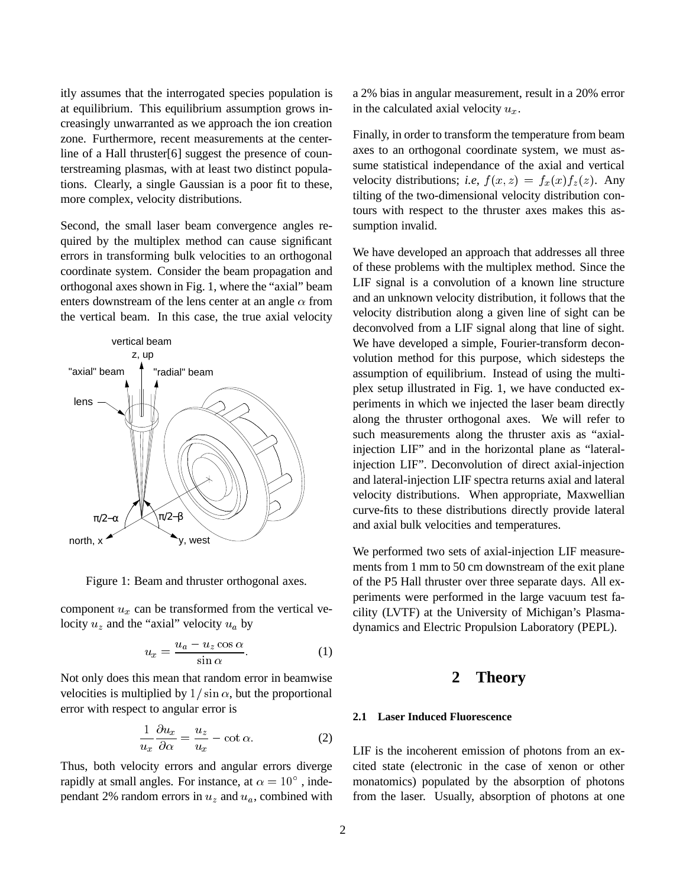itly assumes that the interrogated species population is at equilibrium. This equilibrium assumption grows increasingly unwarranted as we approach the ion creation zone. Furthermore, recent measurements at the centerline of a Hall thruster<sup>[6]</sup> suggest the presence of counterstreaming plasmas, with at least two distinct populations. Clearly, a single Gaussian is a poor fit to these, more complex, velocity distributions.

Second, the small laser beam convergence angles required by the multiplex method can cause significant errors in transforming bulk velocities to an orthogonal coordinate system. Consider the beam propagation and orthogonal axes shown in Fig. 1, where the "axial" beam enters downstream of the lens center at an angle  $\alpha$  from the vertical beam. In this case, the true axial velocity



Figure 1: Beam and thruster orthogonal axes.

component  $u_x$  can be transformed from the vertical velocity  $u_z$  and the "axial" velocity  $u_a$  by

$$
u_x = \frac{u_a - u_z \cos \alpha}{\sin \alpha}.
$$
 (1)

Not only does this mean that random error in beamwise velocities is multiplied by  $1/\sin \alpha$ , but the proportional error with respect to angular error is

$$
\frac{1}{u_x}\frac{\partial u_x}{\partial \alpha} = \frac{u_z}{u_x} - \cot \alpha.
$$
 (2)

Thus, both velocity errors and angular errors diverge rapidly at small angles. For instance, at  $\alpha = 10^{\circ}$  , independant 2% random errors in  $u_z$  and  $u_a$ , combined with a 2% bias in angular measurement, result in a 20% error in the calculated axial velocity  $u_x$ .

Finally, in order to transform the temperature from beam axes to an orthogonal coordinate system, we must assume statistical independance of the axial and vertical velocity distributions; *i.e.*  $f(x, z) = f<sub>x</sub>(x) f<sub>z</sub>(z)$ . Any tilting of the two-dimensional velocity distribution contours with respect to the thruster axes makes this assumption invalid.

We have developed an approach that addresses all three of these problems with the multiplex method. Since the LIF signal is a convolution of a known line structure and an unknown velocity distribution, it follows that the velocity distribution along a given line of sight can be deconvolved from a LIF signal along that line of sight. We have developed a simple, Fourier-transform deconvolution method for this purpose, which sidesteps the assumption of equilibrium. Instead of using the multiplex setup illustrated in Fig. 1, we have conducted experiments in which we injected the laser beam directly along the thruster orthogonal axes. We will refer to such measurements along the thruster axis as "axialinjection LIF" and in the horizontal plane as "lateralinjection LIF". Deconvolution of direct axial-injection and lateral-injection LIF spectra returns axial and lateral velocity distributions. When appropriate, Maxwellian curve-fits to these distributions directly provide lateral and axial bulk velocities and temperatures.

We performed two sets of axial-injection LIF measurements from 1 mm to 50 cm downstream of the exit plane of the P5 Hall thruster over three separate days. All experiments were performed in the large vacuum test facility (LVTF) at the University of Michigan's Plasmadynamics and Electric Propulsion Laboratory (PEPL).

## **2 Theory**

### **2.1 Laser Induced Fluorescence**

LIF is the incoherent emission of photons from an excited state (electronic in the case of xenon or other monatomics) populated by the absorption of photons from the laser. Usually, absorption of photons at one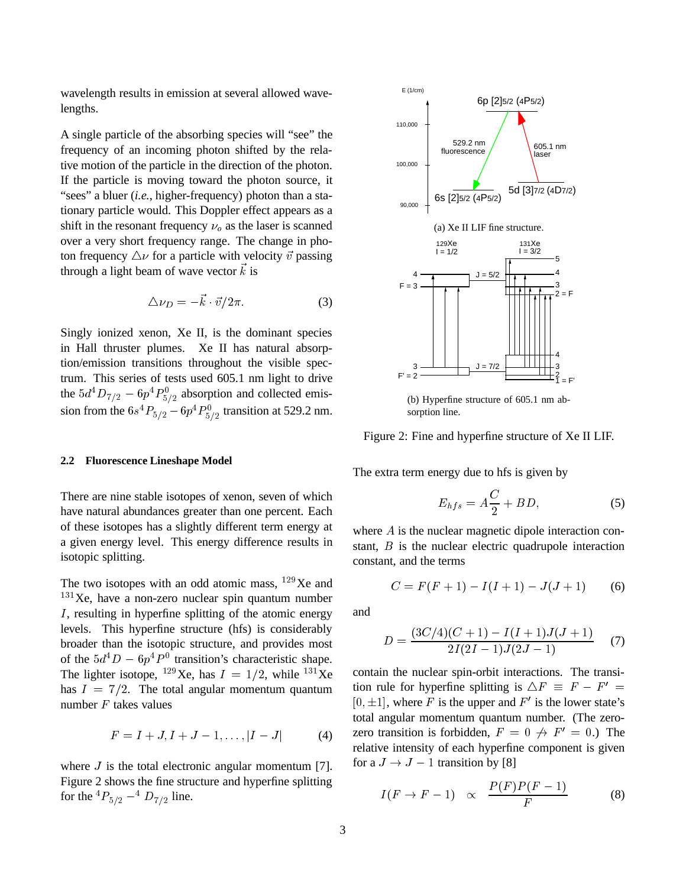wavelength results in emission at several allowed wavelengths.

A single particle of the absorbing species will "see" the frequency of an incoming photon shifted by the relative motion of the particle in the direction of the photon. If the particle is moving toward the photon source, it "sees" a bluer (*i.e.*, higher-frequency) photon than a stationary particle would. This Doppler effect appears as a shift in the resonant frequency  $\nu<sub>o</sub>$  as the laser is scanned over a very short frequency range. The change in photon frequency  $\Delta \nu$  for a particle with velocity  $\vec{v}$  passing through a light beam of wave vector  $\vec{k}$  is

$$
\Delta \nu_D = -\vec{k} \cdot \vec{v}/2\pi. \tag{3}
$$

 $-2$ 

Singly ionized xenon, Xe II, is the dominant species in Hall thruster plumes. Xe II has natural absorption/emission transitions throughout the visible spectrum. This series of tests used 605.1 nm light to drive the  $5d^4D_{7/2} - 6p^4P_{5/2}^0$  absorption and collected emission from the  $6s^4P_{5/2} - 6p^4P_{5/2}^0$  transition at 529.2 nm.

#### **2.2 Fluorescence Lineshape Model**

There are nine stable isotopes of xenon, seven of which have natural abundances greater than one percent. Each of these isotopes has a slightly different term energy at a given energy level. This energy difference results in isotopic splitting.

The two isotopes with an odd atomic mass,  $129$ Xe and  $131$ Xe, have a non-zero nuclear spin quantum number  $I$ , resulting in hyperfine splitting of the atomic energy levels. This hyperfine structure (hfs) is considerably broader than the isotopic structure, and provides most of the  $5d^4D - 6p^4P^0$  transition's characteristic shape. The lighter isotope, <sup>129</sup>Xe, has  $I = 1/2$ , while <sup>131</sup>Xe has  $I = 7/2$ . The total angular momentum quantum number <sup>F</sup> takes values

$$
F = I + J, I + J - 1, \dots, |I - J| \tag{4}
$$

where  $J$  is the total electronic angular momentum [7]. Figure 2 shows the fine structure and hyperfine splitting for the  ${}^4P_{5/2} - {}^4D_{7/2}$  line.



(b) Hyperfine structure of 605.1 nm absorption line.

Figure 2: Fine and hyperfine structure of Xe II LIF.

The extra term energy due to hfs is given by

$$
E_{hfs} = A\frac{C}{2} + BD,\t\t(5)
$$

where A is the nuclear magnetic dipole interaction constant, <sup>B</sup> is the nuclear electric quadrupole interaction constant, and the terms

$$
C = F(F + 1) - I(I + 1) - J(J + 1) \tag{6}
$$

and

$$
D = \frac{(3C/4)(C+1) - I(I+1)J(J+1)}{2I(2I-1)J(2J-1)}
$$
(7)

contain the nuclear spin-orbit interactions. The transition rule for hyperfine splitting is  $\Delta F \equiv F - F' =$  $[0, \pm 1]$ , where F is the upper and F' is the lower state's total angular momentum quantum number. (The zerozero transition is forbidden,  $F = 0 \nleftrightarrow F' = 0.$ ) The relative intensity of each hyperfine component is given for a  $J \rightarrow J - 1$  transition by [8]

$$
I(F \to F - 1) \propto \frac{P(F)P(F - 1)}{F} \tag{8}
$$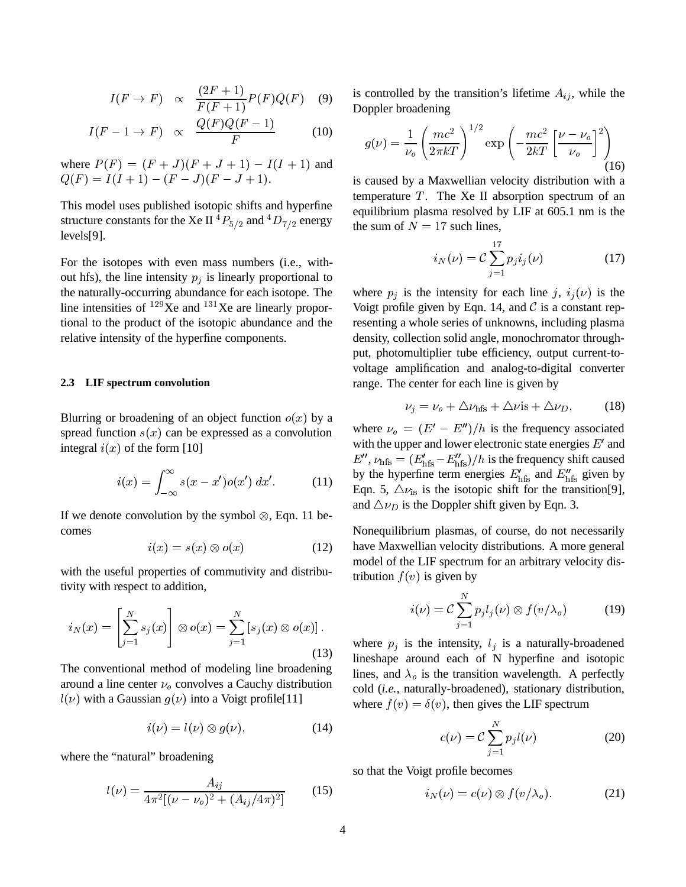$$
I(F \to F) \propto \frac{(2F+1)}{F(F+1)} P(F) Q(F) \quad (9)
$$

$$
I(F - 1 \to F) \propto \frac{Q(F)Q(F - 1)}{F} \tag{10}
$$

where  $P(F) = (F + J)(F + J + 1) - I(I + 1)$  and  $Q(F) = I(I + 1) - (F - J)(F - J + 1).$ 

This model uses published isotopic shifts and hyperfine structure constants for the Xe II  ${}^4P_{5/2}$  and  ${}^4D_{7/2}$  energy levels[9].

For the isotopes with even mass numbers (i.e., without hfs), the line intensity  $p_i$  is linearly proportional to the naturally-occurring abundance for each isotope. The line intensities of  $^{129}$ Xe and  $^{131}$ Xe are linearly proportional to the product of the isotopic abundance and the relative intensity of the hyperfine components.

#### **2.3 LIF spectrum convolution**

Blurring or broadening of an object function  $o(x)$  by a spread function  $s(x)$  can be expressed as a convolution integral  $i(x)$  of the form [10]

$$
i(x) = \int_{-\infty}^{\infty} s(x - x')o(x') dx'.
$$
 (11)

If we denote convolution by the symbol  $\otimes$ , Eqn. 11 becomes

$$
i(x) = s(x) \otimes o(x) \tag{12}
$$

with the useful properties of commutivity and distributivity with respect to addition,

$$
i_N(x) = \left[\sum_{j=1}^N s_j(x)\right] \otimes o(x) = \sum_{j=1}^N \left[s_j(x) \otimes o(x)\right].
$$

The conventional method of modeling line broadening around a line center  $\nu_0$  convolves a Cauchy distribution  $l(\nu)$  with a Gaussian  $g(\nu)$  into a Voigt profile[11]

$$
i(\nu) = l(\nu) \otimes g(\nu), \tag{14}
$$

where the "natural" broadening

$$
l(\nu) = \frac{A_{ij}}{4\pi^2 [(\nu - \nu_o)^2 + (A_{ij}/4\pi)^2]} \tag{15}
$$

is controlled by the transition's lifetime  $A_{ij}$ , while the Doppler broadening

$$
g(\nu) = \frac{1}{\nu_o} \left(\frac{mc^2}{2\pi kT}\right)^{1/2} \exp\left(-\frac{mc^2}{2kT} \left[\frac{\nu - \nu_o}{\nu_o}\right]^2\right)
$$
(16)

is caused by a Maxwellian velocity distribution with a temperature  $T$ . The Xe II absorption spectrum of an equilibrium plasma resolved by LIF at 605.1 nm is the the sum of  $N = 17$  such lines,

$$
i_N(\nu) = C \sum_{j=1}^{17} p_j i_j(\nu)
$$
 (17)

where  $p_i$  is the intensity for each line j,  $i_j(\nu)$  is the Voigt profile given by Eqn. 14, and  $\mathcal C$  is a constant representing a whole series of unknowns, including plasma density, collection solid angle, monochromator throughput, photomultiplier tube efficiency, output current-tovoltage amplification and analog-to-digital converter range. The center for each line is given by

$$
\nu_j = \nu_o + \Delta \nu_{\text{hfs}} + \Delta \nu_{\text{is}} + \Delta \nu_D, \tag{18}
$$

where  $\nu_o = (E' - E'')/h$  is the frequency associated with the upper and lower electronic state energies  $E'$  and  $E''$ ,  $\nu$ <sub>hfs</sub> =  $(E'_{\text{hfs}}-E''_{\text{hfs}})/h$  is the frequency shift caused by the hyperfine term energies  $E'_{\text{hfs}}$  and  $E''_{\text{hfs}}$  given by Eqn. 5,  $\Delta \nu_{\rm is}$  is the isotopic shift for the transition[9], and  $\Delta \nu_D$  is the Doppler shift given by Eqn. 3.

Nonequilibrium plasmas, of course, do not necessarily have Maxwellian velocity distributions. A more general model of the LIF spectrum for an arbitrary velocity distribution  $f(v)$  is given by

$$
i(\nu) = C \sum_{j=1}^{N} p_j l_j(\nu) \otimes f(v/\lambda_o)
$$
 (19)

where  $p_i$  is the intensity,  $l_i$  is a naturally-broadened lineshape around each of N hyperfine and isotopic lines, and  $\lambda_0$  is the transition wavelength. A perfectly cold (*i.e.*, naturally-broadened), stationary distribution, where  $f(v) = \delta(v)$ , then gives the LIF spectrum

$$
c(\nu) = C \sum_{j=1}^{N} p_j l(\nu) \tag{20}
$$

so that the Voigt profile becomes

$$
i_N(\nu) = c(\nu) \otimes f(v/\lambda_o). \tag{21}
$$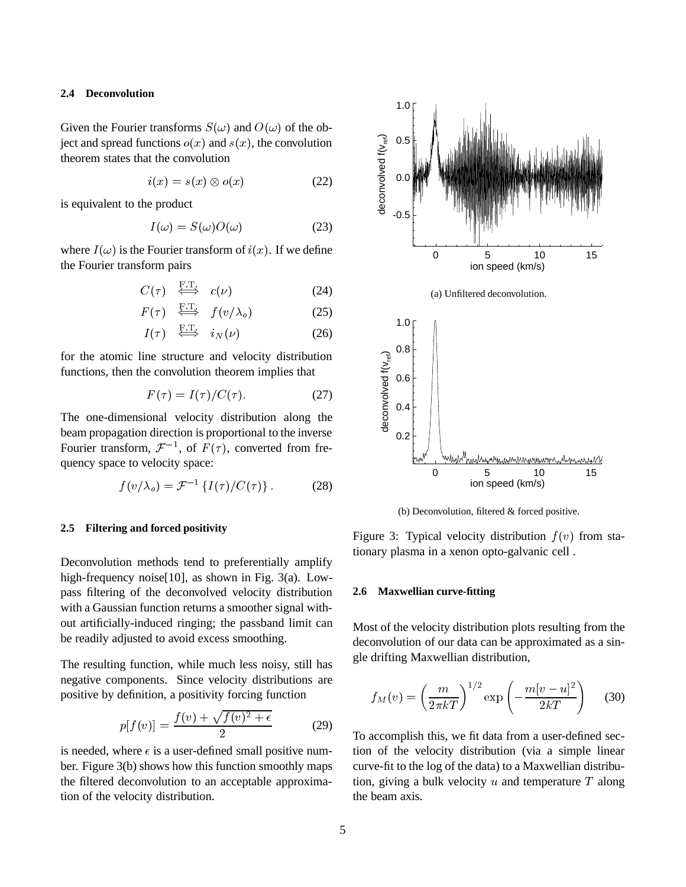#### **2.4 Deconvolution**

Given the Fourier transforms  $S(\omega)$  and  $O(\omega)$  of the object and spread functions  $o(x)$  and  $s(x)$ , the convolution theorem states that the convolution

$$
i(x) = s(x) \otimes o(x) \tag{22}
$$

is equivalent to the product

$$
I(\omega) = S(\omega)O(\omega) \tag{23}
$$

where  $I(\omega)$  is the Fourier transform of  $i(x)$ . If we define the Fourier transform pairs

$$
C(\tau) \quad \Longleftrightarrow \quad c(\nu) \tag{24}
$$

$$
F(\tau) \stackrel{\text{F.T.}}{\iff} f(v/\lambda_o) \tag{25}
$$

$$
I(\tau) \quad \stackrel{\text{F-I.}}{\iff} \quad i_N(\nu) \tag{26}
$$

for the atomic line structure and velocity distribution functions, then the convolution theorem implies that

$$
F(\tau) = I(\tau) / C(\tau). \tag{27}
$$

The one-dimensional velocity distribution along the beam propagation direction is proportional to the inverse Fourier transform,  $\mathcal{F}^{-1}$ , of  $F(\tau)$ , converted from frequency space to velocity space:

$$
f(v/\lambda_o) = \mathcal{F}^{-1}\left\{I(\tau)/C(\tau)\right\}.
$$
 (28)

#### **2.5 Filtering and forced positivity**

Deconvolution methods tend to preferentially amplify high-frequency noise[10], as shown in Fig. 3(a). Lowpass filtering of the deconvolved velocity distribution with a Gaussian function returns a smoother signal without artificially-induced ringing; the passband limit can be readily adjusted to avoid excess smoothing.

The resulting function, while much less noisy, still has negative components. Since velocity distributions are positive by definition, a positivity forcing function

$$
p[f(v)] = \frac{f(v) + \sqrt{f(v)^2 + \epsilon}}{2} \tag{29}
$$

is needed, where  $\epsilon$  is a user-defined small positive number. Figure 3(b) shows how this function smoothly maps the filtered deconvolution to an acceptable approximation of the velocity distribution.



(b) Deconvolution, filtered & forced positive.

Figure 3: Typical velocity distribution  $f(v)$  from stationary plasma in a xenon opto-galvanic cell .

#### **2.6 Maxwellian curve-fitting**

Most of the velocity distribution plots resulting from the deconvolution of our data can be approximated as a single drifting Maxwellian distribution,

$$
f_M(v) = \left(\frac{m}{2\pi kT}\right)^{1/2} \exp\left(-\frac{m[v-u]^2}{2kT}\right) \quad (30)
$$

To accomplish this, we fit data from a user-defined section of the velocity distribution (via a simple linear curve-fit to the log of the data) to a Maxwellian distribution, giving a bulk velocity  $u$  and temperature  $T$  along the beam axis.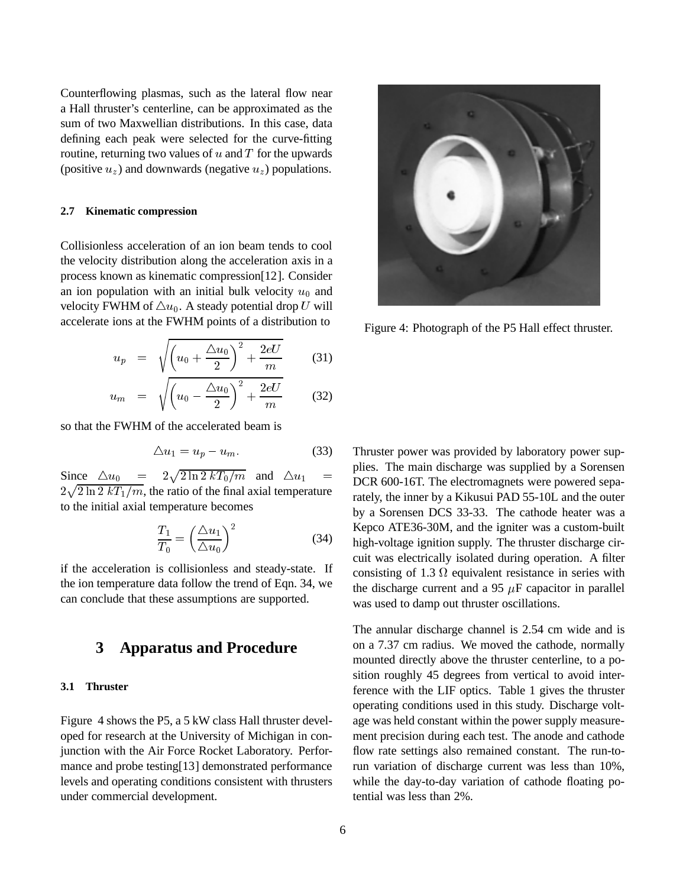Counterflowing plasmas, such as the lateral flow near a Hall thruster's centerline, can be approximated as the sum of two Maxwellian distributions. In this case, data defining each peak were selected for the curve-fitting routine, returning two values of  $u$  and  $T$  for the upwards (positive  $u_z$ ) and downwards (negative  $u_z$ ) populations.

#### **2.7 Kinematic compression**

Collisionless acceleration of an ion beam tends to cool the velocity distribution along the acceleration axis in a process known as kinematic compression[12]. Consider an ion population with an initial bulk velocity  $u_0$  and velocity FWHM of  $\triangle u_0$ . A steady potential drop U will accelerate ions at the FWHM points of a distribution to

$$
u_p = \sqrt{\left(u_0 + \frac{\Delta u_0}{2}\right)^2 + \frac{2eU}{m}} \qquad (31)
$$

$$
u_m = \sqrt{\left(u_0 - \frac{\Delta u_0}{2}\right)^2 + \frac{2eU}{m}} \qquad (32)
$$

so that the FWHM of the accelerated beam is

$$
\Delta u_1 = u_p - u_m. \tag{33}
$$

Since  $\Delta u_0 = 2\sqrt{2 \ln 2 kT_0/m}$  and  $\Delta u_1 = mc_0$  600  $2\sqrt{2 \ln 2 kT_1/m}$ , the ratio of the final axial temperature to the initial axial temperature becomes

$$
\frac{T_1}{T_0} = \left(\frac{\Delta u_1}{\Delta u_0}\right)^2\tag{34}
$$

if the acceleration is collisionless and steady-state. If the ion temperature data follow the trend of Eqn. 34, we can conclude that these assumptions are supported.

## **3 Apparatus and Procedure**

#### **3.1 Thruster**

Figure 4 shows the P5, a 5 kW class Hall thruster developed for research at the University of Michigan in conjunction with the Air Force Rocket Laboratory. Performance and probe testing[13] demonstrated performance levels and operating conditions consistent with thrusters under commercial development.



Figure 4: Photograph of the P5 Hall effect thruster.

Thruster power was provided by laboratory power supplies. The main discharge was supplied by a Sorensen DCR 600-16T. The electromagnets were powered separately, the inner by a Kikusui PAD 55-10L and the outer by a Sorensen DCS 33-33. The cathode heater was a Kepco ATE36-30M, and the igniter was a custom-built high-voltage ignition supply. The thruster discharge circuit was electrically isolated during operation. A filter consisting of 1.3  $\Omega$  equivalent resistance in series with the discharge current and a 95  $\mu$ F capacitor in parallel was used to damp out thruster oscillations.

The annular discharge channel is 2.54 cm wide and is on a 7.37 cm radius. We moved the cathode, normally mounted directly above the thruster centerline, to a position roughly 45 degrees from vertical to avoid interference with the LIF optics. Table 1 gives the thruster operating conditions used in this study. Discharge voltage was held constant within the power supply measurement precision during each test. The anode and cathode flow rate settings also remained constant. The run-torun variation of discharge current was less than 10%, while the day-to-day variation of cathode floating potential was less than 2%.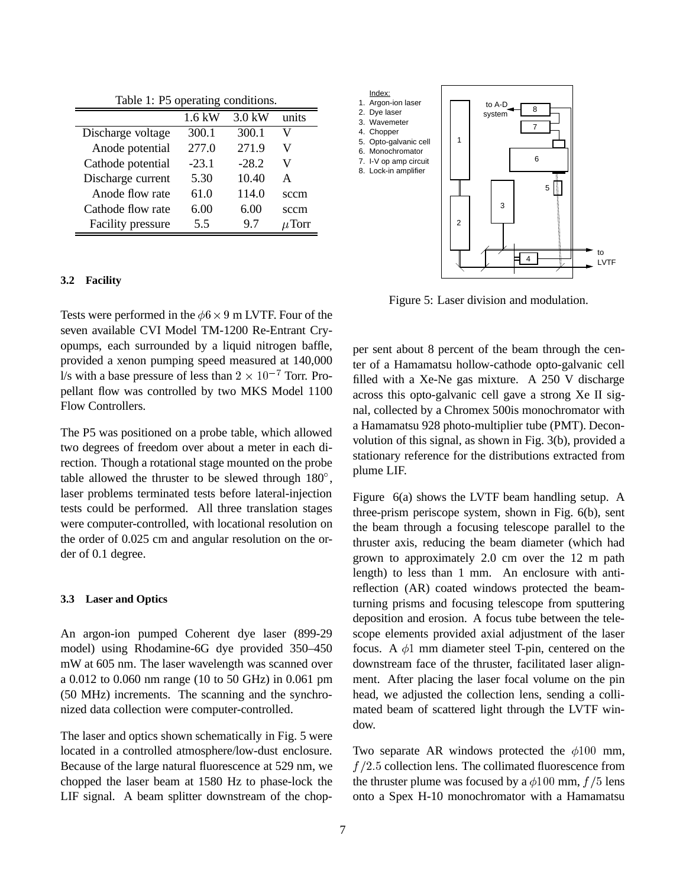|  |  |  | Table 1: P5 operating conditions. |
|--|--|--|-----------------------------------|
|--|--|--|-----------------------------------|

|                   | $1.6$ kW | $3.0$ kW | units      |
|-------------------|----------|----------|------------|
| Discharge voltage | 300.1    | 300.1    | V          |
| Anode potential   | 277.0    | 271.9    | V          |
| Cathode potential | $-23.1$  | $-28.2$  | V          |
| Discharge current | 5.30     | 10.40    | A          |
| Anode flow rate   | 61.0     | 114.0    | sccm       |
| Cathode flow rate | 6.00     | 6.00     | sccm       |
| Facility pressure | 55       | 9.7      | $\mu$ Torr |

#### **3.2 Facility**

Tests were performed in the  $\phi$ 6  $\times$  9 m LVTF. Four of the seven available CVI Model TM-1200 Re-Entrant Cryopumps, each surrounded by a liquid nitrogen baffle, provided a xenon pumping speed measured at 140,000 l/s with a base pressure of less than  $2 \times 10^{-7}$  Torr. Propellant flow was controlled by two MKS Model 1100 Flow Controllers.

The P5 was positioned on a probe table, which allowed two degrees of freedom over about a meter in each direction. Though a rotational stage mounted on the probe table allowed the thruster to be slewed through  $180^\circ$ , laser problems terminated tests before lateral-injection tests could be performed. All three translation stages were computer-controlled, with locational resolution on the order of 0.025 cm and angular resolution on the order of 0.1 degree.

#### **3.3 Laser and Optics**

An argon-ion pumped Coherent dye laser (899-29 model) using Rhodamine-6G dye provided 350–450 mW at 605 nm. The laser wavelength was scanned over a 0.012 to 0.060 nm range (10 to 50 GHz) in 0.061 pm (50 MHz) increments. The scanning and the synchronized data collection were computer-controlled.

The laser and optics shown schematically in Fig. 5 were located in a controlled atmosphere/low-dust enclosure. Because of the large natural fluorescence at 529 nm, we chopped the laser beam at 1580 Hz to phase-lock the LIF signal. A beam splitter downstream of the chop-



Figure 5: Laser division and modulation.

per sent about 8 percent of the beam through the center of a Hamamatsu hollow-cathode opto-galvanic cell filled with a Xe-Ne gas mixture. A 250 V discharge across this opto-galvanic cell gave a strong Xe II signal, collected by a Chromex 500is monochromator with a Hamamatsu 928 photo-multiplier tube (PMT). Deconvolution of this signal, as shown in Fig. 3(b), provided a stationary reference for the distributions extracted from plume LIF.

Figure 6(a) shows the LVTF beam handling setup. A three-prism periscope system, shown in Fig. 6(b), sent the beam through a focusing telescope parallel to the thruster axis, reducing the beam diameter (which had grown to approximately 2.0 cm over the 12 m path length) to less than 1 mm. An enclosure with antireflection (AR) coated windows protected the beamturning prisms and focusing telescope from sputtering deposition and erosion. A focus tube between the telescope elements provided axial adjustment of the laser focus. A  $\phi$ 1 mm diameter steel T-pin, centered on the downstream face of the thruster, facilitated laser alignment. After placing the laser focal volume on the pin head, we adjusted the collection lens, sending a collimated beam of scattered light through the LVTF window.

Two separate AR windows protected the  $\phi$ 100 mm,  $f/2.5$  collection lens. The collimated fluorescence from the thruster plume was focused by a  $\phi$ 100 mm, f /5 lens onto a Spex H-10 monochromator with a Hamamatsu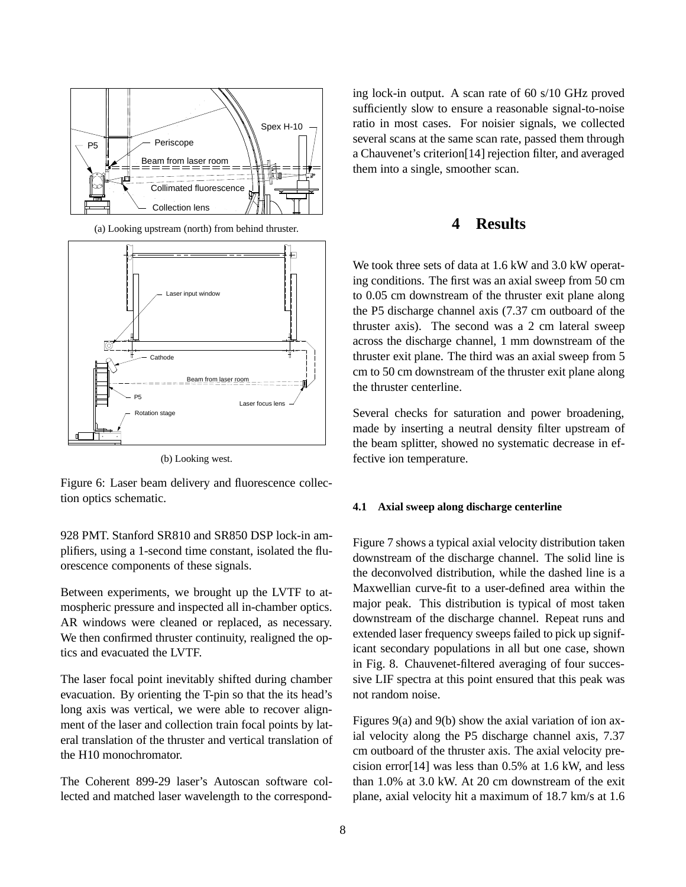

(a) Looking upstream (north) from behind thruster.



(b) Looking west.

Figure 6: Laser beam delivery and fluorescence collection optics schematic.

928 PMT. Stanford SR810 and SR850 DSP lock-in amplifiers, using a 1-second time constant, isolated the fluorescence components of these signals.

Between experiments, we brought up the LVTF to atmospheric pressure and inspected all in-chamber optics. AR windows were cleaned or replaced, as necessary. We then confirmed thruster continuity, realigned the optics and evacuated the LVTF.

The laser focal point inevitably shifted during chamber evacuation. By orienting the T-pin so that the its head's long axis was vertical, we were able to recover alignment of the laser and collection train focal points by lateral translation of the thruster and vertical translation of the H10 monochromator.

The Coherent 899-29 laser's Autoscan software collected and matched laser wavelength to the corresponding lock-in output. A scan rate of 60 s/10 GHz proved sufficiently slow to ensure a reasonable signal-to-noise ratio in most cases. For noisier signals, we collected several scans at the same scan rate, passed them through a Chauvenet's criterion[14] rejection filter, and averaged them into a single, smoother scan.

# **4 Results**

We took three sets of data at 1.6 kW and 3.0 kW operating conditions. The first was an axial sweep from 50 cm to 0.05 cm downstream of the thruster exit plane along the P5 discharge channel axis (7.37 cm outboard of the thruster axis). The second was a 2 cm lateral sweep across the discharge channel, 1 mm downstream of the thruster exit plane. The third was an axial sweep from 5 cm to 50 cm downstream of the thruster exit plane along the thruster centerline.

Several checks for saturation and power broadening, made by inserting a neutral density filter upstream of the beam splitter, showed no systematic decrease in effective ion temperature.

#### **4.1 Axial sweep along discharge centerline**

Figure 7 shows a typical axial velocity distribution taken downstream of the discharge channel. The solid line is the deconvolved distribution, while the dashed line is a Maxwellian curve-fit to a user-defined area within the major peak. This distribution is typical of most taken downstream of the discharge channel. Repeat runs and extended laser frequency sweeps failed to pick up significant secondary populations in all but one case, shown in Fig. 8. Chauvenet-filtered averaging of four successive LIF spectra at this point ensured that this peak was not random noise.

Figures 9(a) and 9(b) show the axial variation of ion axial velocity along the P5 discharge channel axis, 7.37 cm outboard of the thruster axis. The axial velocity precision error[14] was less than 0.5% at 1.6 kW, and less than 1.0% at 3.0 kW. At 20 cm downstream of the exit plane, axial velocity hit a maximum of 18.7 km/s at 1.6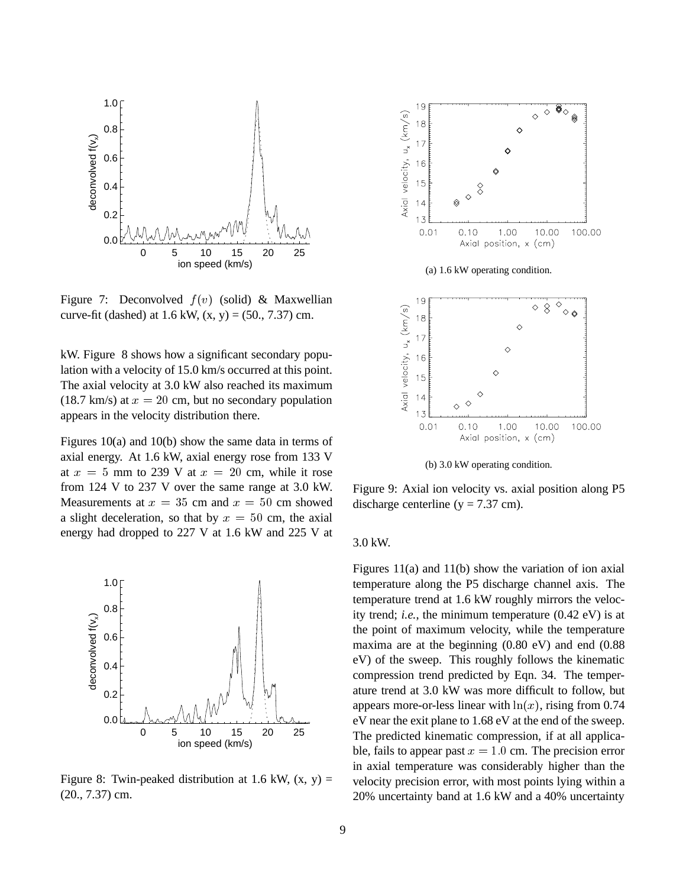

Figure 7: Deconvolved  $f(v)$  (solid) & Maxwellian curve-fit (dashed) at  $1.6$  kW,  $(x, y) = (50, 7.37)$  cm.

kW. Figure 8 shows how a significant secondary population with a velocity of 15.0 km/s occurred at this point. The axial velocity at 3.0 kW also reached its maximum (18.7 km/s) at  $x = 20$  cm, but no secondary population appears in the velocity distribution there.

Figures 10(a) and 10(b) show the same data in terms of axial energy. At 1.6 kW, axial energy rose from 133 V at  $x = 5$  mm to 239 V at  $x = 20$  cm, while it rose from 124 V to 237 V over the same range at 3.0 kW. Measurements at  $x = 35$  cm and  $x = 50$  cm showed a slight deceleration, so that by  $x = 50$  cm, the axial energy had dropped to 227 V at 1.6 kW and 225 V at



Figure 8: Twin-peaked distribution at 1.6 kW,  $(x, y) =$ (20., 7.37) cm.



Figure 9: Axial ion velocity vs. axial position along P5 discharge centerline ( $y = 7.37$  cm).

### 3.0 kW.

Figures 11(a) and 11(b) show the variation of ion axial temperature along the P5 discharge channel axis. The temperature trend at 1.6 kW roughly mirrors the velocity trend; *i.e.*, the minimum temperature (0.42 eV) is at the point of maximum velocity, while the temperature maxima are at the beginning (0.80 eV) and end (0.88 eV) of the sweep. This roughly follows the kinematic compression trend predicted by Eqn. 34. The temperature trend at 3.0 kW was more difficult to follow, but appears more-or-less linear with  $\ln(x)$ , rising from 0.74 eV near the exit plane to 1.68 eV at the end of the sweep. The predicted kinematic compression, if at all applicable, fails to appear past  $x = 1.0$  cm. The precision error in axial temperature was considerably higher than the velocity precision error, with most points lying within a 20% uncertainty band at 1.6 kW and a 40% uncertainty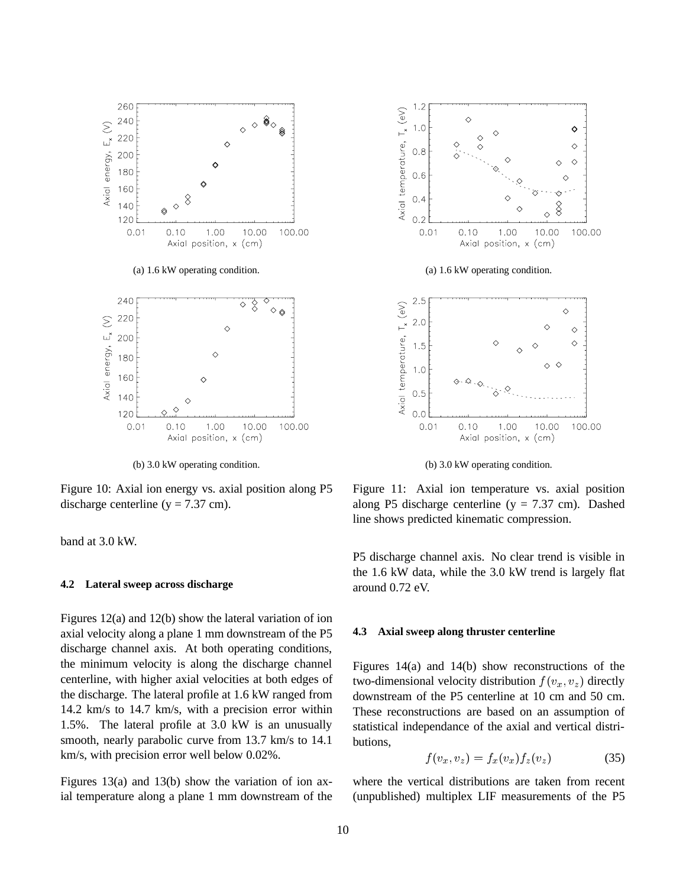

(b) 3.0 kW operating condition.

Figure 10: Axial ion energy vs. axial position along P5 discharge centerline ( $y = 7.37$  cm).

band at 3.0 kW.

#### **4.2 Lateral sweep across discharge**

Figures 12(a) and 12(b) show the lateral variation of ion axial velocity along a plane 1 mm downstream of the P5 discharge channel axis. At both operating conditions, the minimum velocity is along the discharge channel centerline, with higher axial velocities at both edges of the discharge. The lateral profile at 1.6 kW ranged from 14.2 km/s to 14.7 km/s, with a precision error within 1.5%. The lateral profile at 3.0 kW is an unusually smooth, nearly parabolic curve from 13.7 km/s to 14.1 km/s, with precision error well below 0.02%.

Figures 13(a) and 13(b) show the variation of ion axial temperature along a plane 1 mm downstream of the



(b) 3.0 kW operating condition.

Figure 11: Axial ion temperature vs. axial position along P5 discharge centerline ( $y = 7.37$  cm). Dashed line shows predicted kinematic compression.

P5 discharge channel axis. No clear trend is visible in the 1.6 kW data, while the 3.0 kW trend is largely flat around 0.72 eV.

#### **4.3 Axial sweep along thruster centerline**

Figures 14(a) and 14(b) show reconstructions of the two-dimensional velocity distribution  $f(v_x, v_z)$  directly downstream of the P5 centerline at 10 cm and 50 cm. These reconstructions are based on an assumption of statistical independance of the axial and vertical distributions,

$$
f(v_x, v_z) = f_x(v_x) f_z(v_z) \tag{35}
$$

where the vertical distributions are taken from recent (unpublished) multiplex LIF measurements of the P5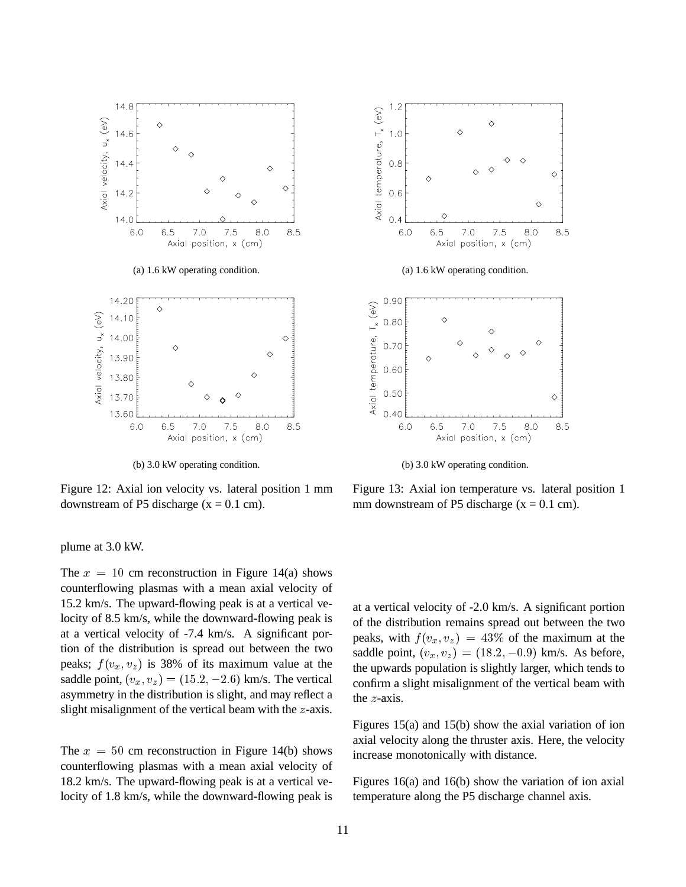

(b) 3.0 kW operating condition.

Figure 12: Axial ion velocity vs. lateral position 1 mm downstream of P5 discharge  $(x = 0.1$  cm).

plume at 3.0 kW.

The  $x = 10$  cm reconstruction in Figure 14(a) shows counterflowing plasmas with a mean axial velocity of 15.2 km/s. The upward-flowing peak is at a vertical velocity of 8.5 km/s, while the downward-flowing peak is at a vertical velocity of -7.4 km/s. A significant portion of the distribution is spread out between the two peaks;  $f(v_x, v_z)$  is 38% of its maximum value at the saddle point,  $(v_x, v_z) = (15.2, -2.6)$  km/s. The vertical asymmetry in the distribution is slight, and may reflect a slight misalignment of the vertical beam with the <sup>z</sup>-axis.

The  $x = 50$  cm reconstruction in Figure 14(b) shows counterflowing plasmas with a mean axial velocity of 18.2 km/s. The upward-flowing peak is at a vertical velocity of 1.8 km/s, while the downward-flowing peak is



(b) 3.0 kW operating condition.

Figure 13: Axial ion temperature vs. lateral position 1 mm downstream of P5 discharge  $(x = 0.1$  cm).

at a vertical velocity of -2.0 km/s. A significant portion of the distribution remains spread out between the two peaks, with  $f(v_x, v_z) = 43\%$  of the maximum at the saddle point,  $(v_x, v_z) = (18.2, -0.9)$  km/s. As before, the upwards population is slightly larger, which tends to confirm a slight misalignment of the vertical beam with the <sup>z</sup>-axis.

Figures 15(a) and 15(b) show the axial variation of ion axial velocity along the thruster axis. Here, the velocity increase monotonically with distance.

Figures 16(a) and 16(b) show the variation of ion axial temperature along the P5 discharge channel axis.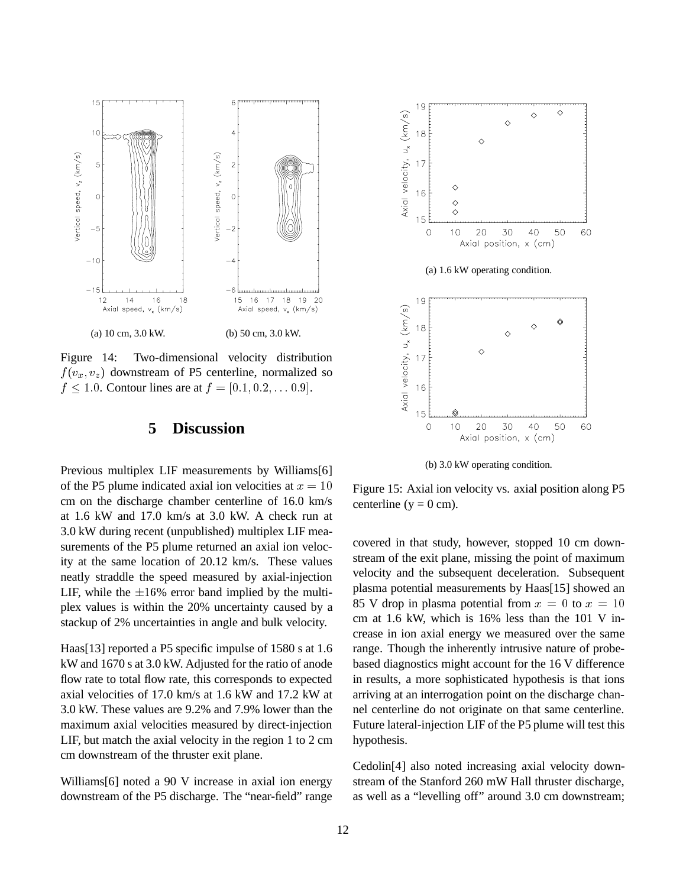

Figure 14: Two-dimensional velocity distribution  $f(v_x, v_z)$  downstream of P5 centerline, normalized so  $f \le 1.0$ . Contour lines are at  $f = [0.1, 0.2, \ldots 0.9]$ .

# **5 Discussion**

Previous multiplex LIF measurements by Williams[6] of the P5 plume indicated axial ion velocities at  $x = 10$ cm on the discharge chamber centerline of 16.0 km/s at 1.6 kW and 17.0 km/s at 3.0 kW. A check run at 3.0 kW during recent (unpublished) multiplex LIF measurements of the P5 plume returned an axial ion velocity at the same location of 20.12 km/s. These values neatly straddle the speed measured by axial-injection LIF, while the  $\pm 16\%$  error band implied by the multiplex values is within the 20% uncertainty caused by a stackup of 2% uncertainties in angle and bulk velocity.

Haas[13] reported a P5 specific impulse of 1580 s at 1.6 kW and 1670 s at 3.0 kW. Adjusted for the ratio of anode flow rate to total flow rate, this corresponds to expected axial velocities of 17.0 km/s at 1.6 kW and 17.2 kW at 3.0 kW. These values are 9.2% and 7.9% lower than the maximum axial velocities measured by direct-injection LIF, but match the axial velocity in the region 1 to 2 cm cm downstream of the thruster exit plane.

Williams[6] noted a 90 V increase in axial ion energy downstream of the P5 discharge. The "near-field" range



(b) 3.0 kW operating condition.

Figure 15: Axial ion velocity vs. axial position along P5 centerline ( $y = 0$  cm).

covered in that study, however, stopped 10 cm downstream of the exit plane, missing the point of maximum velocity and the subsequent deceleration. Subsequent plasma potential measurements by Haas[15] showed an 85 V drop in plasma potential from  $x = 0$  to  $x = 10$ cm at 1.6 kW, which is 16% less than the 101 V increase in ion axial energy we measured over the same range. Though the inherently intrusive nature of probebased diagnostics might account for the 16 V difference in results, a more sophisticated hypothesis is that ions arriving at an interrogation point on the discharge channel centerline do not originate on that same centerline. Future lateral-injection LIF of the P5 plume will test this hypothesis.

Cedolin[4] also noted increasing axial velocity downstream of the Stanford 260 mW Hall thruster discharge, as well as a "levelling off" around 3.0 cm downstream;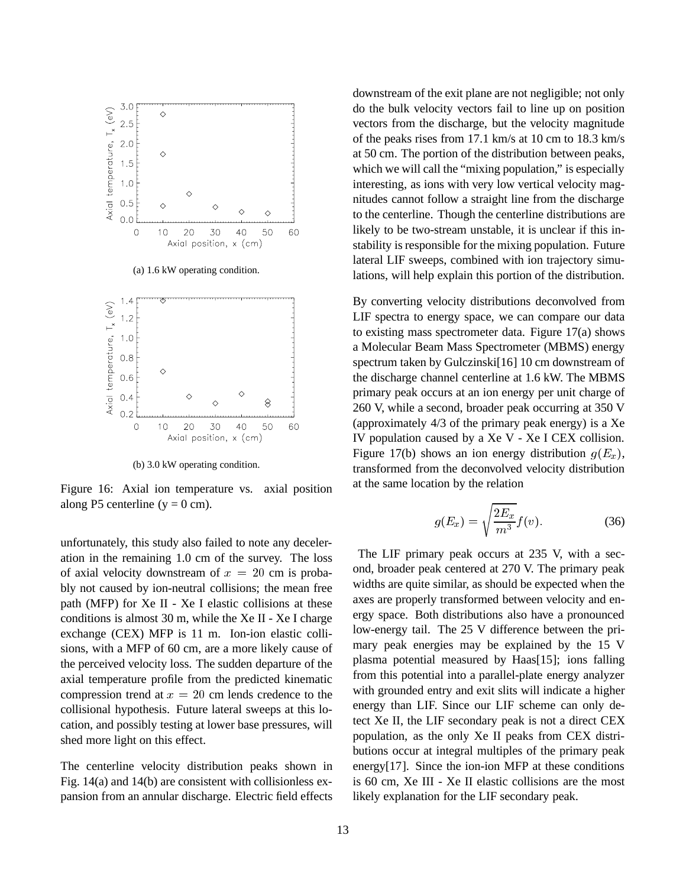

(b) 3.0 kW operating condition.

Figure 16: Axial ion temperature vs. axial position along P5 centerline ( $y = 0$  cm).

unfortunately, this study also failed to note any deceleration in the remaining 1.0 cm of the survey. The loss of axial velocity downstream of  $x = 20$  cm is probably not caused by ion-neutral collisions; the mean free path (MFP) for Xe II - Xe I elastic collisions at these conditions is almost 30 m, while the Xe II - Xe I charge exchange (CEX) MFP is 11 m. Ion-ion elastic collisions, with a MFP of 60 cm, are a more likely cause of the perceived velocity loss. The sudden departure of the axial temperature profile from the predicted kinematic compression trend at  $x = 20$  cm lends credence to the collisional hypothesis. Future lateral sweeps at this location, and possibly testing at lower base pressures, will shed more light on this effect.

The centerline velocity distribution peaks shown in Fig. 14(a) and 14(b) are consistent with collisionless expansion from an annular discharge. Electric field effects downstream of the exit plane are not negligible; not only do the bulk velocity vectors fail to line up on position vectors from the discharge, but the velocity magnitude of the peaks rises from 17.1 km/s at 10 cm to 18.3 km/s at 50 cm. The portion of the distribution between peaks, which we will call the "mixing population," is especially interesting, as ions with very low vertical velocity magnitudes cannot follow a straight line from the discharge to the centerline. Though the centerline distributions are likely to be two-stream unstable, it is unclear if this instability is responsible for the mixing population. Future lateral LIF sweeps, combined with ion trajectory simulations, will help explain this portion of the distribution.

By converting velocity distributions deconvolved from LIF spectra to energy space, we can compare our data to existing mass spectrometer data. Figure 17(a) shows a Molecular Beam Mass Spectrometer (MBMS) energy spectrum taken by Gulczinski[16] 10 cm downstream of the discharge channel centerline at 1.6 kW. The MBMS primary peak occurs at an ion energy per unit charge of 260 V, while a second, broader peak occurring at 350 V (approximately 4/3 of the primary peak energy) is a Xe IV population caused by a Xe V - Xe I CEX collision. Figure 17(b) shows an ion energy distribution  $q(E_x)$ , transformed from the deconvolved velocity distribution at the same location by the relation

$$
g(E_x) = \sqrt{\frac{2E_x}{m^3}} f(v).
$$
 (36)

The LIF primary peak occurs at 235 V, with a second, broader peak centered at 270 V. The primary peak widths are quite similar, as should be expected when the axes are properly transformed between velocity and energy space. Both distributions also have a pronounced low-energy tail. The 25 V difference between the primary peak energies may be explained by the 15 V plasma potential measured by Haas[15]; ions falling from this potential into a parallel-plate energy analyzer with grounded entry and exit slits will indicate a higher energy than LIF. Since our LIF scheme can only detect Xe II, the LIF secondary peak is not a direct CEX population, as the only Xe II peaks from CEX distributions occur at integral multiples of the primary peak energy[17]. Since the ion-ion MFP at these conditions is 60 cm, Xe III - Xe II elastic collisions are the most likely explanation for the LIF secondary peak.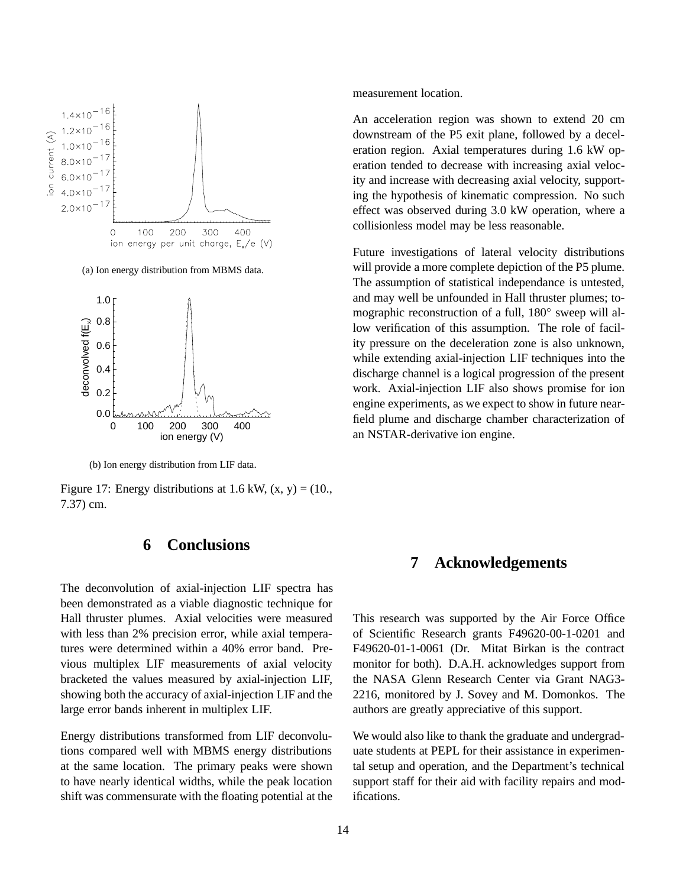

(a) Ion energy distribution from MBMS data.



(b) Ion energy distribution from LIF data.

Figure 17: Energy distributions at 1.6 kW,  $(x, y) = (10,$ , 7.37) cm.

# **6 Conclusions**

The deconvolution of axial-injection LIF spectra has been demonstrated as a viable diagnostic technique for Hall thruster plumes. Axial velocities were measured with less than 2% precision error, while axial temperatures were determined within a 40% error band. Previous multiplex LIF measurements of axial velocity bracketed the values measured by axial-injection LIF, showing both the accuracy of axial-injection LIF and the large error bands inherent in multiplex LIF.

Energy distributions transformed from LIF deconvolutions compared well with MBMS energy distributions at the same location. The primary peaks were shown to have nearly identical widths, while the peak location shift was commensurate with the floating potential at the measurement location.

An acceleration region was shown to extend 20 cm downstream of the P5 exit plane, followed by a deceleration region. Axial temperatures during 1.6 kW operation tended to decrease with increasing axial velocity and increase with decreasing axial velocity, supporting the hypothesis of kinematic compression. No such effect was observed during 3.0 kW operation, where a collisionless model may be less reasonable.

Future investigations of lateral velocity distributions will provide a more complete depiction of the P5 plume. The assumption of statistical independance is untested, and may well be unfounded in Hall thruster plumes; tomographic reconstruction of a full, 180 sweep will allow verification of this assumption. The role of facility pressure on the deceleration zone is also unknown, while extending axial-injection LIF techniques into the discharge channel is a logical progression of the present work. Axial-injection LIF also shows promise for ion engine experiments, as we expect to show in future nearfield plume and discharge chamber characterization of an NSTAR-derivative ion engine.

# **7 Acknowledgements**

This research was supported by the Air Force Office of Scientific Research grants F49620-00-1-0201 and F49620-01-1-0061 (Dr. Mitat Birkan is the contract monitor for both). D.A.H. acknowledges support from the NASA Glenn Research Center via Grant NAG3- 2216, monitored by J. Sovey and M. Domonkos. The authors are greatly appreciative of this support.

We would also like to thank the graduate and undergraduate students at PEPL for their assistance in experimental setup and operation, and the Department's technical support staff for their aid with facility repairs and modifications.